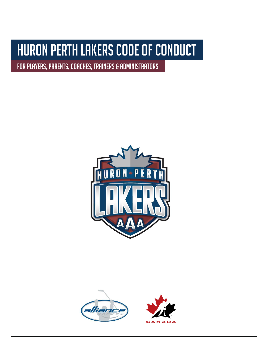# Huron Perth Lakers code of conduct

FOR PLAYERS, PARENTS, COACHES, TRAINERS & ADMINISTRATORS



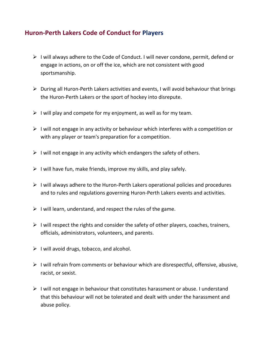## **Huron-Perth Lakers Code of Conduct for Players**

- ➢ I will always adhere to the Code of Conduct. I will never condone, permit, defend or engage in actions, on or off the ice, which are not consistent with good sportsmanship.
- ➢ During all Huron-Perth Lakers activities and events, I will avoid behaviour that brings the Huron-Perth Lakers or the sport of hockey into disrepute.
- $\triangleright$  I will play and compete for my enjoyment, as well as for my team.
- $\triangleright$  I will not engage in any activity or behaviour which interferes with a competition or with any player or team's preparation for a competition.
- $\triangleright$  I will not engage in any activity which endangers the safety of others.
- $\triangleright$  I will have fun, make friends, improve my skills, and play safely.
- $\triangleright$  I will always adhere to the Huron-Perth Lakers operational policies and procedures and to rules and regulations governing Huron-Perth Lakers events and activities.
- $\triangleright$  I will learn, understand, and respect the rules of the game.
- $\triangleright$  I will respect the rights and consider the safety of other players, coaches, trainers, officials, administrators, volunteers, and parents.
- $\triangleright$  I will avoid drugs, tobacco, and alcohol.
- $\triangleright$  I will refrain from comments or behaviour which are disrespectful, offensive, abusive, racist, or sexist.
- ➢ I will not engage in behaviour that constitutes harassment or abuse. I understand that this behaviour will not be tolerated and dealt with under the harassment and abuse policy.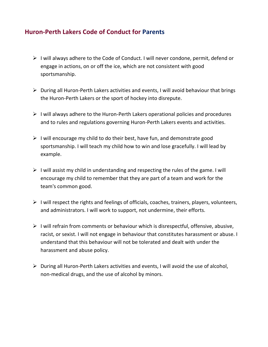## **Huron-Perth Lakers Code of Conduct for Parents**

- ➢ I will always adhere to the Code of Conduct. I will never condone, permit, defend or engage in actions, on or off the ice, which are not consistent with good sportsmanship.
- ➢ During all Huron-Perth Lakers activities and events, I will avoid behaviour that brings the Huron-Perth Lakers or the sport of hockey into disrepute.
- ➢ I will always adhere to the Huron-Perth Lakers operational policies and procedures and to rules and regulations governing Huron-Perth Lakers events and activities.
- $\triangleright$  I will encourage my child to do their best, have fun, and demonstrate good sportsmanship. I will teach my child how to win and lose gracefully. I will lead by example.
- $\triangleright$  I will assist my child in understanding and respecting the rules of the game. I will encourage my child to remember that they are part of a team and work for the team's common good.
- $\triangleright$  I will respect the rights and feelings of officials, coaches, trainers, players, volunteers, and administrators. I will work to support, not undermine, their efforts.
- $\triangleright$  I will refrain from comments or behaviour which is disrespectful, offensive, abusive, racist, or sexist. I will not engage in behaviour that constitutes harassment or abuse. I understand that this behaviour will not be tolerated and dealt with under the harassment and abuse policy.
- $\triangleright$  During all Huron-Perth Lakers activities and events, I will avoid the use of alcohol, non-medical drugs, and the use of alcohol by minors.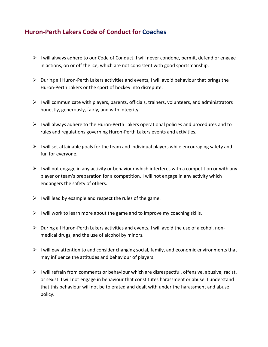## **Huron-Perth Lakers Code of Conduct for Coaches**

- $\triangleright$  I will always adhere to our Code of Conduct. I will never condone, permit, defend or engage in actions, on or off the ice, which are not consistent with good sportsmanship.
- $\triangleright$  During all Huron-Perth Lakers activities and events, I will avoid behaviour that brings the Huron-Perth Lakers or the sport of hockey into disrepute.
- $\triangleright$  I will communicate with players, parents, officials, trainers, volunteers, and administrators honestly, generously, fairly, and with integrity.
- $\triangleright$  I will always adhere to the Huron-Perth Lakers operational policies and procedures and to rules and regulations governing Huron-Perth Lakers events and activities.
- $\triangleright$  I will set attainable goals for the team and individual players while encouraging safety and fun for everyone.
- $\triangleright$  I will not engage in any activity or behaviour which interferes with a competition or with any player or team's preparation for a competition. I will not engage in any activity which endangers the safety of others.
- $\triangleright$  I will lead by example and respect the rules of the game.
- $\triangleright$  I will work to learn more about the game and to improve my coaching skills.
- $\triangleright$  During all Huron-Perth Lakers activities and events, I will avoid the use of alcohol, nonmedical drugs, and the use of alcohol by minors.
- $\triangleright$  I will pay attention to and consider changing social, family, and economic environments that may influence the attitudes and behaviour of players.
- $\triangleright$  I will refrain from comments or behaviour which are disrespectful, offensive, abusive, racist, or sexist. I will not engage in behaviour that constitutes harassment or abuse. I understand that this behaviour will not be tolerated and dealt with under the harassment and abuse policy.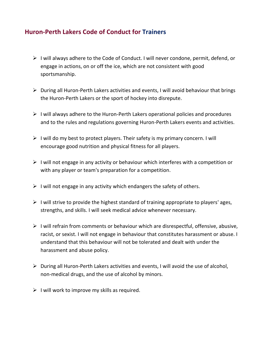## **Huron-Perth Lakers Code of Conduct for Trainers**

- ➢ I will always adhere to the Code of Conduct. I will never condone, permit, defend, or engage in actions, on or off the ice, which are not consistent with good sportsmanship.
- ➢ During all Huron-Perth Lakers activities and events, I will avoid behaviour that brings the Huron-Perth Lakers or the sport of hockey into disrepute.
- ➢ I will always adhere to the Huron-Perth Lakers operational policies and procedures and to the rules and regulations governing Huron-Perth Lakers events and activities.
- $\triangleright$  I will do my best to protect players. Their safety is my primary concern. I will encourage good nutrition and physical fitness for all players.
- $\triangleright$  I will not engage in any activity or behaviour which interferes with a competition or with any player or team's preparation for a competition.
- $\triangleright$  I will not engage in any activity which endangers the safety of others.
- $\triangleright$  I will strive to provide the highest standard of training appropriate to players' ages, strengths, and skills. I will seek medical advice whenever necessary.
- ➢ I will refrain from comments or behaviour which are disrespectful, offensive, abusive, racist, or sexist. I will not engage in behaviour that constitutes harassment or abuse. I understand that this behaviour will not be tolerated and dealt with under the harassment and abuse policy.
- $\triangleright$  During all Huron-Perth Lakers activities and events, I will avoid the use of alcohol, non-medical drugs, and the use of alcohol by minors.
- $\triangleright$  I will work to improve my skills as required.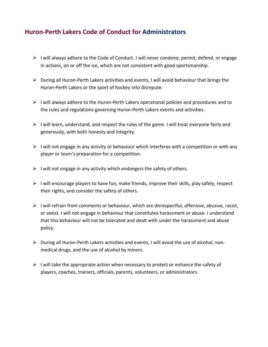## **Huron-Perth Lakers Code of Conduct for Administrators**

- $\triangleright$  I will always adhere to the Code of Conduct. I will never condone, permit, defend, or engage in actions, on or off the ice, which are not consistent with good sportsmanship.
- $\triangleright$  During all Huron-Perth Lakers activities and events, I will avoid behaviour that brings the Huron-Perth Lakers or the sport of hockey into disrepute.
- $\triangleright$  I will always adhere to the Huron-Perth Lakers operational policies and procedures and to the rules and regulations governing Huron-Perth Lakers events and activities.
- ➢ I will learn, understand, and respect the rules of the game. I will treat everyone fairly and generously, with both honesty and integrity.
- $\triangleright$  I will not engage in any activity or behaviour which interferes with a competition or with any player or team's preparation for a competition.
- $\triangleright$  I will not engage in any activity which endangers the safety of others.
- $\triangleright$  I will encourage players to have fun, make friends, improve their skills, play safely, respect their rights, and consider the safety of others.
- $\triangleright$  I will refrain from comments or behaviour, which are disrespectful, offensive, abusive, racist, or sexist. I will not engage in behaviour that constitutes harassment or abuse. I understand that this behaviour will not be tolerated and dealt with under the harassment and abuse policy.
- ➢ During all Huron-Perth Lakers activities and events, I will avoid the use of alcohol, nonmedical drugs, and the use of alcohol by minors.
- $\triangleright$  I will take the appropriate action when necessary to protect or enhance the safety of players, coaches, trainers, officials, parents, volunteers, or administrators.